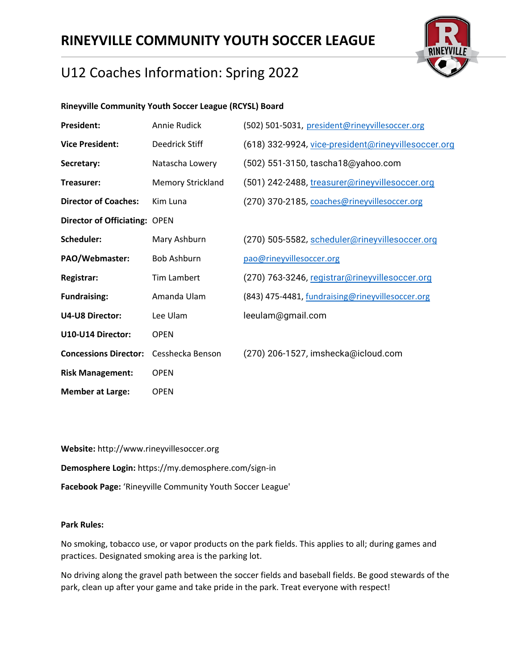# **RINEYVILLE COMMUNITY YOUTH SOCCER LEAGUE**



# U12 Coaches Information: Spring 2022

### **Rineyville Community Youth Soccer League (RCYSL) Board**

| Annie Rudick                         | (502) 501-5031, president@rineyvillesoccer.org      |
|--------------------------------------|-----------------------------------------------------|
| Deedrick Stiff                       | (618) 332-9924, vice-president@rineyvillesoccer.org |
| Natascha Lowery                      | (502) 551-3150, tascha18@yahoo.com                  |
| <b>Memory Strickland</b>             | (501) 242-2488, treasurer@rineyvillesoccer.org      |
| Kim Luna                             | (270) 370-2185, coaches@rineyvillesoccer.org        |
| <b>Director of Officiating: OPEN</b> |                                                     |
| Mary Ashburn                         | (270) 505-5582, scheduler@rineyvillesoccer.org      |
| <b>Bob Ashburn</b>                   | pao@rineyvillesoccer.org                            |
| <b>Tim Lambert</b>                   | (270) 763-3246, registrar@rineyvillesoccer.org      |
| Amanda Ulam                          | (843) 475-4481, fundraising@rineyvillesoccer.org    |
| Lee Ulam                             | leeulam@gmail.com                                   |
| <b>OPEN</b>                          |                                                     |
| Cesshecka Benson                     | (270) 206-1527, imshecka@icloud.com                 |
| <b>OPEN</b>                          |                                                     |
| <b>OPEN</b>                          |                                                     |
|                                      |                                                     |

**Website:** http://www.rineyvillesoccer.org **Demosphere Login:** https://my.demosphere.com/sign-in **Facebook Page:** 'Rineyville Community Youth Soccer League'

#### **Park Rules:**

No smoking, tobacco use, or vapor products on the park fields. This applies to all; during games and practices. Designated smoking area is the parking lot.

No driving along the gravel path between the soccer fields and baseball fields. Be good stewards of the park, clean up after your game and take pride in the park. Treat everyone with respect!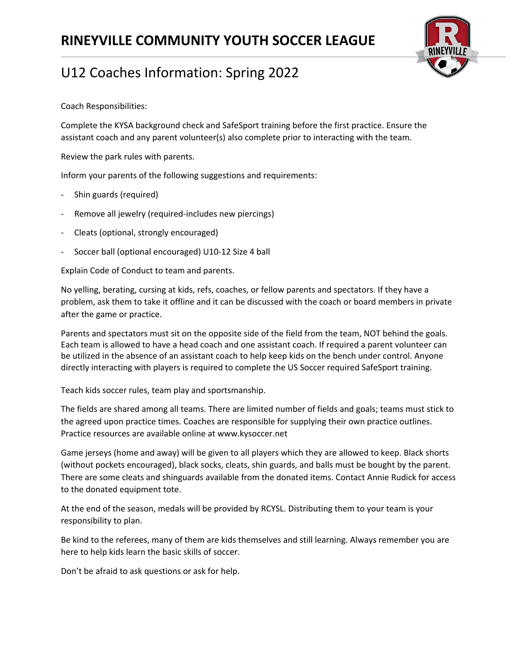

Coach Responsibilities:

Complete the KYSA background check and SafeSport training before the first practice. Ensure the assistant coach and any parent volunteer(s) also complete prior to interacting with the team.

Review the park rules with parents.

Inform your parents of the following suggestions and requirements:

- Shin guards (required)
- Remove all jewelry (required-includes new piercings)
- Cleats (optional, strongly encouraged)
- Soccer ball (optional encouraged) U10-12 Size 4 ball

Explain Code of Conduct to team and parents.

No yelling, berating, cursing at kids, refs, coaches, or fellow parents and spectators. If they have a problem, ask them to take it offline and it can be discussed with the coach or board members in private after the game or practice.

Parents and spectators must sit on the opposite side of the field from the team, NOT behind the goals. Each team is allowed to have a head coach and one assistant coach. If required a parent volunteer can be utilized in the absence of an assistant coach to help keep kids on the bench under control. Anyone directly interacting with players is required to complete the US Soccer required SafeSport training.

Teach kids soccer rules, team play and sportsmanship.

The fields are shared among all teams. There are limited number of fields and goals; teams must stick to the agreed upon practice times. Coaches are responsible for supplying their own practice outlines. Practice resources are available online at www.kysoccer.net

Game jerseys (home and away) will be given to all players which they are allowed to keep. Black shorts (without pockets encouraged), black socks, cleats, shin guards, and balls must be bought by the parent. There are some cleats and shinguards available from the donated items. Contact Annie Rudick for access to the donated equipment tote.

At the end of the season, medals will be provided by RCYSL. Distributing them to your team is your responsibility to plan.

Be kind to the referees, many of them are kids themselves and still learning. Always remember you are here to help kids learn the basic skills of soccer.

Don't be afraid to ask questions or ask for help.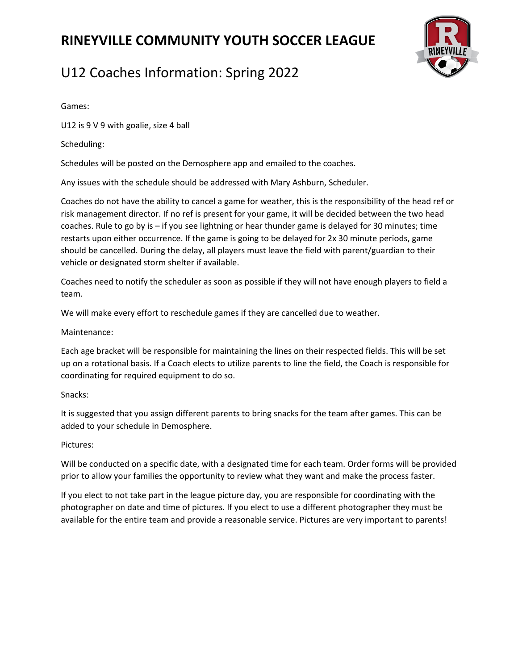

Games:

U12 is 9 V 9 with goalie, size 4 ball

Scheduling:

Schedules will be posted on the Demosphere app and emailed to the coaches.

Any issues with the schedule should be addressed with Mary Ashburn, Scheduler.

Coaches do not have the ability to cancel a game for weather, this is the responsibility of the head ref or risk management director. If no ref is present for your game, it will be decided between the two head coaches. Rule to go by is – if you see lightning or hear thunder game is delayed for 30 minutes; time restarts upon either occurrence. If the game is going to be delayed for 2x 30 minute periods, game should be cancelled. During the delay, all players must leave the field with parent/guardian to their vehicle or designated storm shelter if available.

Coaches need to notify the scheduler as soon as possible if they will not have enough players to field a team.

We will make every effort to reschedule games if they are cancelled due to weather.

Maintenance:

Each age bracket will be responsible for maintaining the lines on their respected fields. This will be set up on a rotational basis. If a Coach elects to utilize parents to line the field, the Coach is responsible for coordinating for required equipment to do so.

#### Snacks:

It is suggested that you assign different parents to bring snacks for the team after games. This can be added to your schedule in Demosphere.

### Pictures:

Will be conducted on a specific date, with a designated time for each team. Order forms will be provided prior to allow your families the opportunity to review what they want and make the process faster.

If you elect to not take part in the league picture day, you are responsible for coordinating with the photographer on date and time of pictures. If you elect to use a different photographer they must be available for the entire team and provide a reasonable service. Pictures are very important to parents!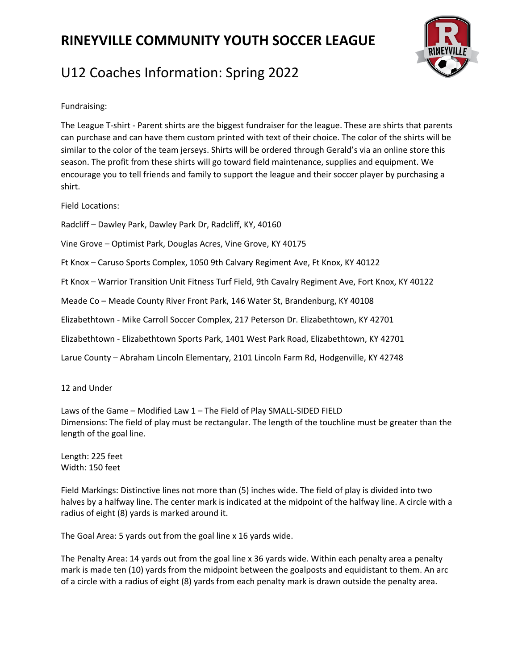

Fundraising:

The League T-shirt - Parent shirts are the biggest fundraiser for the league. These are shirts that parents can purchase and can have them custom printed with text of their choice. The color of the shirts will be similar to the color of the team jerseys. Shirts will be ordered through Gerald's via an online store this season. The profit from these shirts will go toward field maintenance, supplies and equipment. We encourage you to tell friends and family to support the league and their soccer player by purchasing a shirt.

Field Locations:

Radcliff – Dawley Park, Dawley Park Dr, Radcliff, KY, 40160

Vine Grove – Optimist Park, Douglas Acres, Vine Grove, KY 40175

Ft Knox – Caruso Sports Complex, 1050 9th Calvary Regiment Ave, Ft Knox, KY 40122

Ft Knox – Warrior Transition Unit Fitness Turf Field, 9th Cavalry Regiment Ave, Fort Knox, KY 40122

Meade Co – Meade County River Front Park, 146 Water St, Brandenburg, KY 40108

Elizabethtown - Mike Carroll Soccer Complex, 217 Peterson Dr. Elizabethtown, KY 42701

Elizabethtown - Elizabethtown Sports Park, 1401 West Park Road, Elizabethtown, KY 42701

Larue County – Abraham Lincoln Elementary, 2101 Lincoln Farm Rd, Hodgenville, KY 42748

12 and Under

Laws of the Game – Modified Law 1 – The Field of Play SMALL-SIDED FIELD Dimensions: The field of play must be rectangular. The length of the touchline must be greater than the length of the goal line.

Length: 225 feet Width: 150 feet

Field Markings: Distinctive lines not more than (5) inches wide. The field of play is divided into two halves by a halfway line. The center mark is indicated at the midpoint of the halfway line. A circle with a radius of eight (8) yards is marked around it.

The Goal Area: 5 yards out from the goal line x 16 yards wide.

The Penalty Area: 14 yards out from the goal line x 36 yards wide. Within each penalty area a penalty mark is made ten (10) yards from the midpoint between the goalposts and equidistant to them. An arc of a circle with a radius of eight (8) yards from each penalty mark is drawn outside the penalty area.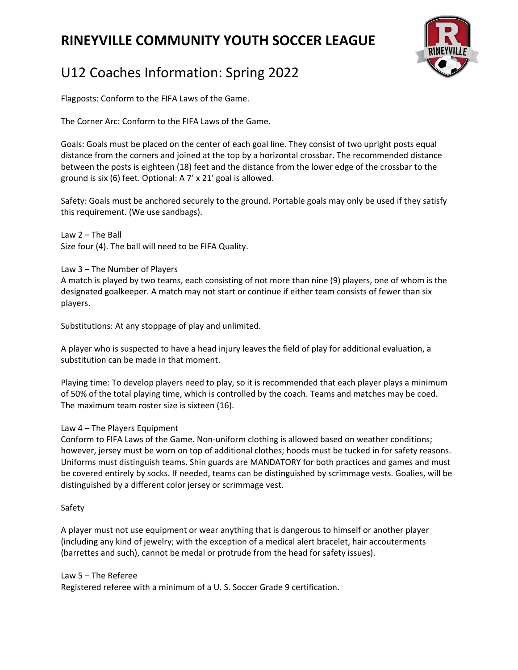## **RINEYVILLE COMMUNITY YOUTH SOCCER LEAGUE**



# U12 Coaches Information: Spring 2022

Flagposts: Conform to the FIFA Laws of the Game.

The Corner Arc: Conform to the FIFA Laws of the Game.

Goals: Goals must be placed on the center of each goal line. They consist of two upright posts equal distance from the corners and joined at the top by a horizontal crossbar. The recommended distance between the posts is eighteen (18) feet and the distance from the lower edge of the crossbar to the ground is six (6) feet. Optional: A 7' x 21' goal is allowed.

Safety: Goals must be anchored securely to the ground. Portable goals may only be used if they satisfy this requirement. (We use sandbags).

Law 2 – The Ball Size four (4). The ball will need to be FIFA Quality.

Law 3 – The Number of Players A match is played by two teams, each consisting of not more than nine (9) players, one of whom is the designated goalkeeper. A match may not start or continue if either team consists of fewer than six players.

Substitutions: At any stoppage of play and unlimited.

A player who is suspected to have a head injury leaves the field of play for additional evaluation, a substitution can be made in that moment.

Playing time: To develop players need to play, so it is recommended that each player plays a minimum of 50% of the total playing time, which is controlled by the coach. Teams and matches may be coed. The maximum team roster size is sixteen (16).

### Law 4 – The Players Equipment

Conform to FIFA Laws of the Game. Non-uniform clothing is allowed based on weather conditions; however, jersey must be worn on top of additional clothes; hoods must be tucked in for safety reasons. Uniforms must distinguish teams. Shin guards are MANDATORY for both practices and games and must be covered entirely by socks. If needed, teams can be distinguished by scrimmage vests. Goalies, will be distinguished by a different color jersey or scrimmage vest.

#### Safety

A player must not use equipment or wear anything that is dangerous to himself or another player (including any kind of jewelry; with the exception of a medical alert bracelet, hair accouterments (barrettes and such), cannot be medal or protrude from the head for safety issues).

#### Law 5 – The Referee

Registered referee with a minimum of a U. S. Soccer Grade 9 certification.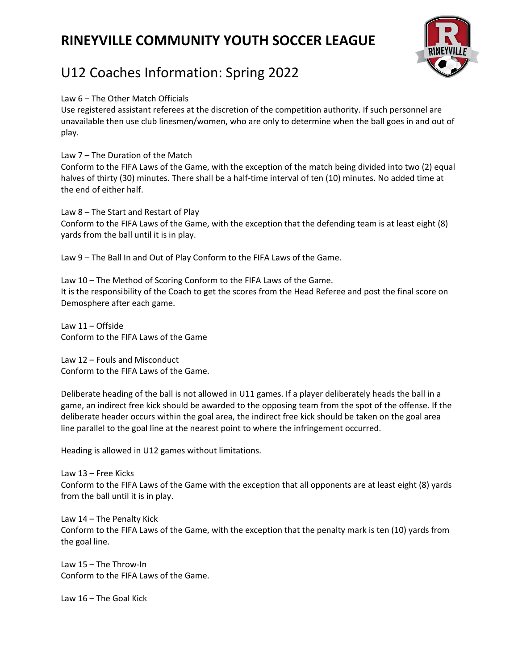

#### Law 6 – The Other Match Officials

Use registered assistant referees at the discretion of the competition authority. If such personnel are unavailable then use club linesmen/women, who are only to determine when the ball goes in and out of play.

Law 7 – The Duration of the Match

Conform to the FIFA Laws of the Game, with the exception of the match being divided into two (2) equal halves of thirty (30) minutes. There shall be a half-time interval of ten (10) minutes. No added time at the end of either half.

Law 8 – The Start and Restart of Play Conform to the FIFA Laws of the Game, with the exception that the defending team is at least eight (8) yards from the ball until it is in play.

Law 9 – The Ball In and Out of Play Conform to the FIFA Laws of the Game.

Law 10 – The Method of Scoring Conform to the FIFA Laws of the Game. It is the responsibility of the Coach to get the scores from the Head Referee and post the final score on Demosphere after each game.

Law 11 – Offside Conform to the FIFA Laws of the Game

Law 12 – Fouls and Misconduct Conform to the FIFA Laws of the Game.

Deliberate heading of the ball is not allowed in U11 games. If a player deliberately heads the ball in a game, an indirect free kick should be awarded to the opposing team from the spot of the offense. If the deliberate header occurs within the goal area, the indirect free kick should be taken on the goal area line parallel to the goal line at the nearest point to where the infringement occurred.

Heading is allowed in U12 games without limitations.

Law 13 – Free Kicks Conform to the FIFA Laws of the Game with the exception that all opponents are at least eight (8) yards from the ball until it is in play.

Law 14 – The Penalty Kick Conform to the FIFA Laws of the Game, with the exception that the penalty mark is ten (10) yards from the goal line.

Law 15 – The Throw-In Conform to the FIFA Laws of the Game.

Law 16 – The Goal Kick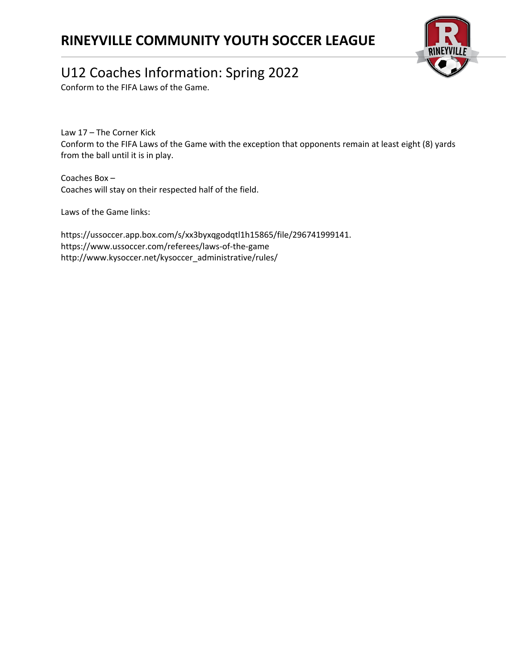## **RINEYVILLE COMMUNITY YOUTH SOCCER LEAGUE**



## U12 Coaches Information: Spring 2022

Conform to the FIFA Laws of the Game.

Law 17 – The Corner Kick Conform to the FIFA Laws of the Game with the exception that opponents remain at least eight (8) yards from the ball until it is in play.

Coaches Box – Coaches will stay on their respected half of the field.

Laws of the Game links:

https://ussoccer.app.box.com/s/xx3byxqgodqtl1h15865/file/296741999141. https://www.ussoccer.com/referees/laws-of-the-game http://www.kysoccer.net/kysoccer\_administrative/rules/